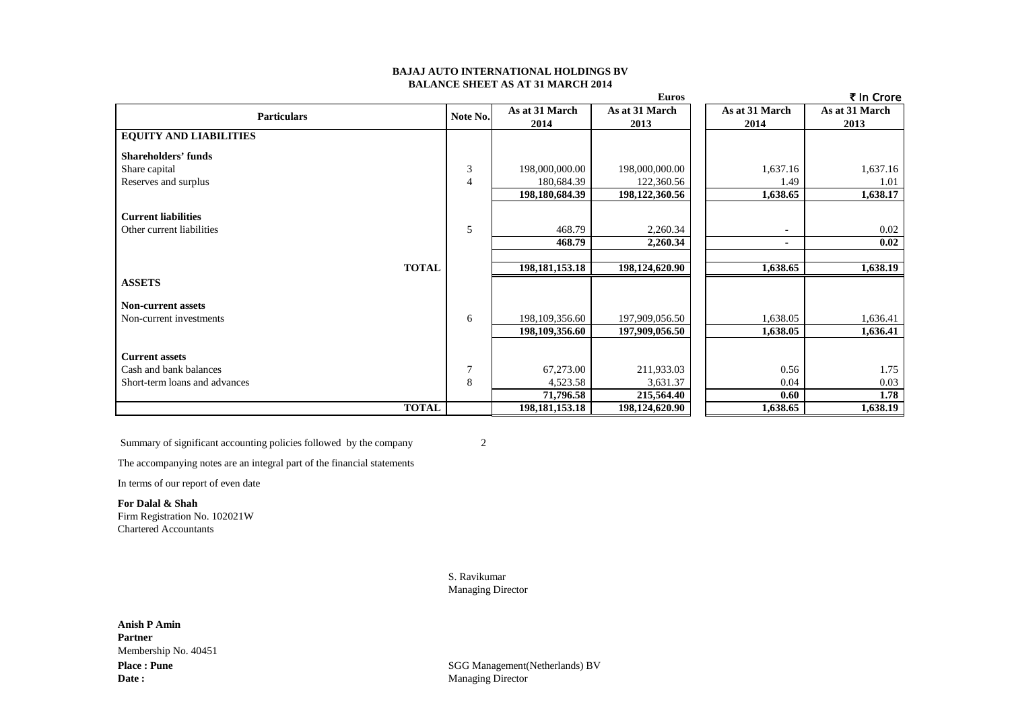### **BAJAJ AUTO INTERNATIONAL HOLDINGS BV BALANCE SHEET AS AT 31 MARCH 2014**

|                               |                |                   | <b>Euros</b>   |                | ₹ In Crore     |
|-------------------------------|----------------|-------------------|----------------|----------------|----------------|
| <b>Particulars</b>            | Note No.       | As at 31 March    | As at 31 March | As at 31 March | As at 31 March |
|                               |                | 2014              | 2013           | 2014           | 2013           |
| <b>EQUITY AND LIABILITIES</b> |                |                   |                |                |                |
| <b>Shareholders' funds</b>    |                |                   |                |                |                |
| Share capital                 | 3              | 198,000,000.00    | 198,000,000.00 | 1,637.16       | 1,637.16       |
| Reserves and surplus          | $\overline{4}$ | 180,684.39        | 122,360.56     | 1.49           | 1.01           |
|                               |                | 198,180,684.39    | 198,122,360.56 | 1,638.65       | 1,638.17       |
| <b>Current liabilities</b>    |                |                   |                |                |                |
| Other current liabilities     | 5              | 468.79            | 2,260.34       |                | 0.02           |
|                               |                | 468.79            | 2,260.34       | ٠              | 0.02           |
|                               |                |                   |                |                |                |
| <b>TOTAL</b>                  |                | 198, 181, 153. 18 | 198,124,620.90 | 1,638.65       | 1,638.19       |
| <b>ASSETS</b>                 |                |                   |                |                |                |
| <b>Non-current assets</b>     |                |                   |                |                |                |
| Non-current investments       | 6              | 198,109,356.60    | 197,909,056.50 | 1,638.05       | 1,636.41       |
|                               |                | 198,109,356.60    | 197,909,056.50 | 1,638.05       | 1,636.41       |
| <b>Current assets</b>         |                |                   |                |                |                |
| Cash and bank balances        | $\overline{7}$ |                   |                |                |                |
|                               |                | 67,273.00         | 211,933.03     | 0.56           | 1.75           |
| Short-term loans and advances | 8              | 4,523.58          | 3,631.37       | 0.04           | 0.03           |
|                               |                | 71,796.58         | 215,564.40     | 0.60           | 1.78           |
| <b>TOTAL</b>                  |                | 198, 181, 153. 18 | 198,124,620.90 | 1,638.65       | 1,638.19       |

Summary of significant accounting policies followed by the company 2

The accompanying notes are an integral part of the financial statements

In terms of our report of even date

**For Dalal & Shah** Firm Registration No. 102021W Chartered Accountants

> S. Ravikumar Managing Director

Place : Pune<br>
SGG Management(Netherlands) BV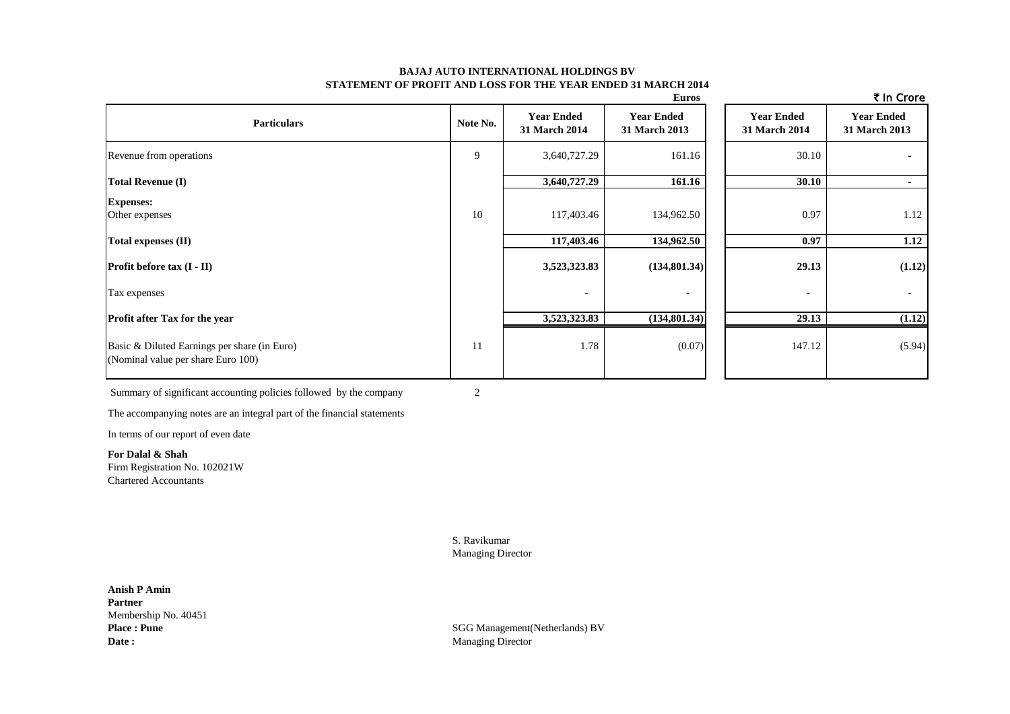### **BAJAJ AUTO INTERNATIONAL HOLDINGS BV STATEMENT OF PROFIT AND LOSS FOR THE YEAR ENDED 31 MARCH 2014**

|                                                                                    |          |                                    | <b>Euros</b>                       |                                    | ₹ In Crore                         |
|------------------------------------------------------------------------------------|----------|------------------------------------|------------------------------------|------------------------------------|------------------------------------|
| <b>Particulars</b>                                                                 | Note No. | <b>Year Ended</b><br>31 March 2014 | <b>Year Ended</b><br>31 March 2013 | <b>Year Ended</b><br>31 March 2014 | <b>Year Ended</b><br>31 March 2013 |
| Revenue from operations                                                            | 9        | 3,640,727.29                       | 161.16                             | 30.10                              |                                    |
| <b>Total Revenue (I)</b>                                                           |          | 3,640,727.29                       | 161.16                             | 30.10                              |                                    |
| <b>Expenses:</b><br>Other expenses                                                 | 10       | 117,403.46                         | 134,962.50                         | 0.97                               | 1.12                               |
| Total expenses (II)                                                                |          | 117,403.46                         | 134,962.50                         | 0.97                               | 1.12                               |
| <b>Profit before tax (I - II)</b>                                                  |          | 3,523,323.83                       | (134, 801.34)                      | 29.13                              | (1.12)                             |
| Tax expenses                                                                       |          | ۰                                  |                                    | $\overline{\phantom{a}}$           | $\sim$                             |
| Profit after Tax for the year                                                      |          | 3,523,323.83                       | (134, 801.34)                      | 29.13                              | (1.12)                             |
| Basic & Diluted Earnings per share (in Euro)<br>(Nominal value per share Euro 100) | 11       | 1.78                               | (0.07)                             | 147.12                             | (5.94)                             |

Summary of significant accounting policies followed by the company 2

The accompanying notes are an integral part of the financial statements

In terms of our report of even date

**For Dalal & Shah** Firm Registration No. 102021W Chartered Accountants

> S. Ravikumar Managing Director

**Anish P Amin Partner** Membership No. 40451<br>Place: Pune Date : Managing Director

**SGG Management(Netherlands) BV**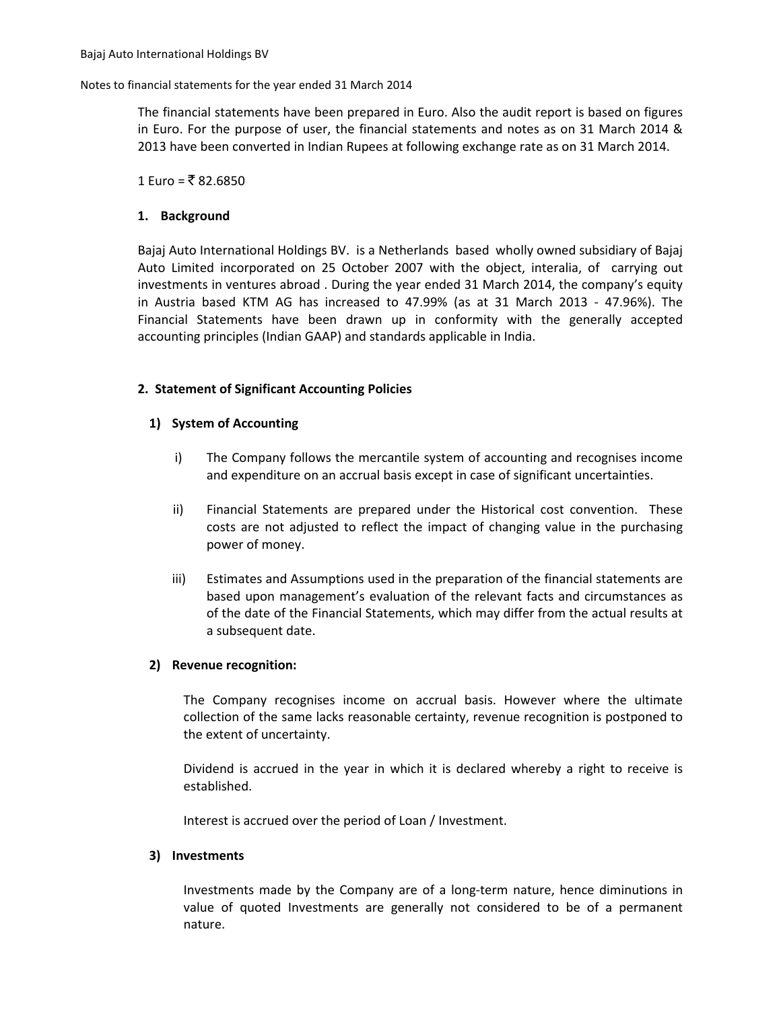### Notes to financial statements for the year ended 31 March 2014

The financial statements have been prepared in Euro. Also the audit report is based on figures in Euro. For the purpose of user, the financial statements and notes as on 31 March 2014 & 2013 have been converted in Indian Rupees at following exchange rate as on 31 March 2014.

## 1 Euro = ₹82.6850

# **1. Background**

Bajaj Auto International Holdings BV. is a Netherlands based wholly owned subsidiary of Bajaj Auto Limited incorporated on 25 October 2007 with the object, interalia, of carrying out investments in ventures abroad . During the year ended 31 March 2014, the company's equity in Austria based KTM AG has increased to 47.99% (as at 31 March 2013 - 47.96%). The Financial Statements have been drawn up in conformity with the generally accepted accounting principles (Indian GAAP) and standards applicable in India.

# **2. Statement of Significant Accounting Policies**

# **1) System of Accounting**

- i) The Company follows the mercantile system of accounting and recognises income and expenditure on an accrual basis except in case of significant uncertainties.
- ii) Financial Statements are prepared under the Historical cost convention. These costs are not adjusted to reflect the impact of changing value in the purchasing power of money.
- iii) Estimates and Assumptions used in the preparation of the financial statements are based upon management's evaluation of the relevant facts and circumstances as of the date of the Financial Statements, which may differ from the actual results at a subsequent date.

## **2) Revenue recognition:**

The Company recognises income on accrual basis. However where the ultimate collection of the same lacks reasonable certainty, revenue recognition is postponed to the extent of uncertainty.

Dividend is accrued in the year in which it is declared whereby a right to receive is established.

Interest is accrued over the period of Loan / Investment.

## **3) Investments**

Investments made by the Company are of a long-term nature, hence diminutions in value of quoted Investments are generally not considered to be of a permanent nature.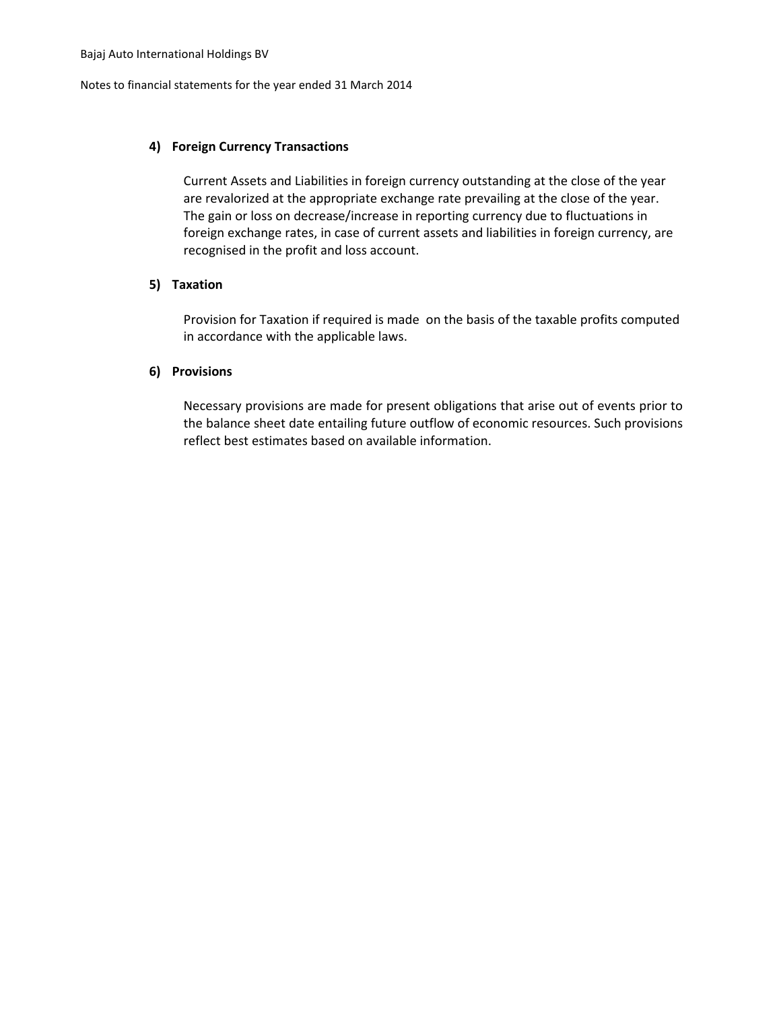Notes to financial statements for the year ended 31 March 2014

# **4) Foreign Currency Transactions**

Current Assets and Liabilities in foreign currency outstanding at the close of the year are revalorized at the appropriate exchange rate prevailing at the close of the year. The gain or loss on decrease/increase in reporting currency due to fluctuations in foreign exchange rates, in case of current assets and liabilities in foreign currency, are recognised in the profit and loss account.

# **5) Taxation**

Provision for Taxation if required is made on the basis of the taxable profits computed in accordance with the applicable laws.

# **6) Provisions**

Necessary provisions are made for present obligations that arise out of events prior to the balance sheet date entailing future outflow of economic resources. Such provisions reflect best estimates based on available information.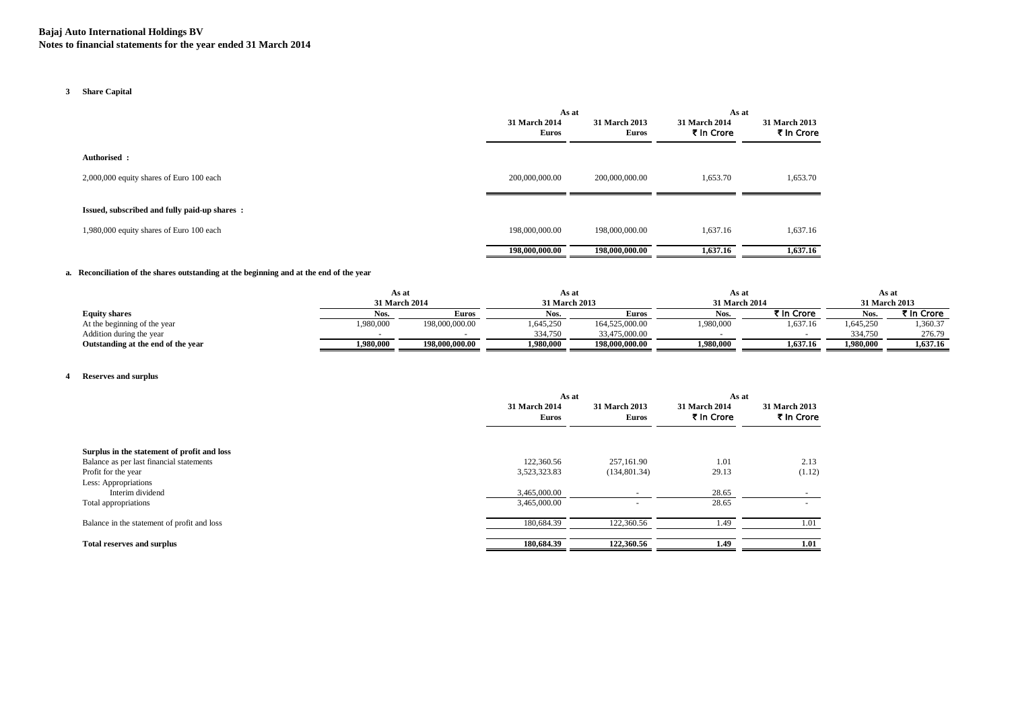### **3 Share Capital**

|                                              | As at                         |                               | As at                       |                             |
|----------------------------------------------|-------------------------------|-------------------------------|-----------------------------|-----------------------------|
|                                              | 31 March 2014<br><b>Euros</b> | 31 March 2013<br><b>Euros</b> | 31 March 2014<br>₹ In Crore | 31 March 2013<br>₹ In Crore |
| Authorised :                                 |                               |                               |                             |                             |
| 2,000,000 equity shares of Euro 100 each     | 200,000,000.00                | 200,000,000.00                | 1,653.70                    | 1,653.70                    |
| Issued, subscribed and fully paid-up shares: |                               |                               |                             |                             |
| 1,980,000 equity shares of Euro 100 each     | 198,000,000.00                | 198,000,000.00                | 1,637.16                    | 1,637.16                    |
|                                              | 198,000,000.00                | 198,000,000.00                | 1,637.16                    | 1,637.16                    |

### **a. Reconciliation of the shares outstanding at the beginning and at the end of the year**

|                                    |               | As at          |           | As at          |           | As a          |           | As at         |  |
|------------------------------------|---------------|----------------|-----------|----------------|-----------|---------------|-----------|---------------|--|
|                                    | 31 March 2014 |                |           | 31 March 2013  |           | 31 March 2014 |           | 31 March 2013 |  |
| <b>Equity shares</b>               | Nos.          | Euros          | Nos.      | <b>Euros</b>   | Nos.      | ₹ In Crore    | Nos.      | ₹ In Crore    |  |
| At the beginning of the year       | 1,980,000     | 198,000,000.00 | 1,645,250 | 164,525,000.00 | 1,980,000 | 1,637.16      | 1,645,250 | ,360.37       |  |
| Addition during the year           |               |                | 334,750   | 33,475,000.00  |           |               | 334.750   | 276.79        |  |
| Outstanding at the end of the year | 1.980.000     | 198,000,000.00 | 1.980.000 | 198,000,000.00 | 1,980,000 | 1.637.16      | 1,980,000 | 1,637.16      |  |

### **4 Reserves and surplus**

|                                                                 | As at                         |                               | As at                       |                             |
|-----------------------------------------------------------------|-------------------------------|-------------------------------|-----------------------------|-----------------------------|
|                                                                 | 31 March 2014<br><b>Euros</b> | 31 March 2013<br><b>Euros</b> | 31 March 2014<br>₹ In Crore | 31 March 2013<br>₹ In Crore |
| Surplus in the statement of profit and loss                     | 122,360.56                    | 257,161.90                    | 1.01                        |                             |
| Balance as per last financial statements<br>Profit for the year | 3,523,323.83                  | (134,801.34)                  | 29.13                       | 2.13<br>(1.12)              |
| Less: Appropriations                                            |                               |                               |                             |                             |
| Interim dividend                                                | 3,465,000.00                  |                               | 28.65                       |                             |
| Total appropriations                                            | 3,465,000.00                  |                               | 28.65                       |                             |
| Balance in the statement of profit and loss                     | 180,684.39                    | 122,360.56                    | 1.49                        | 1.01                        |
| <b>Total reserves and surplus</b>                               | 180,684.39                    | 122,360.56                    | 1.49                        | 1.01                        |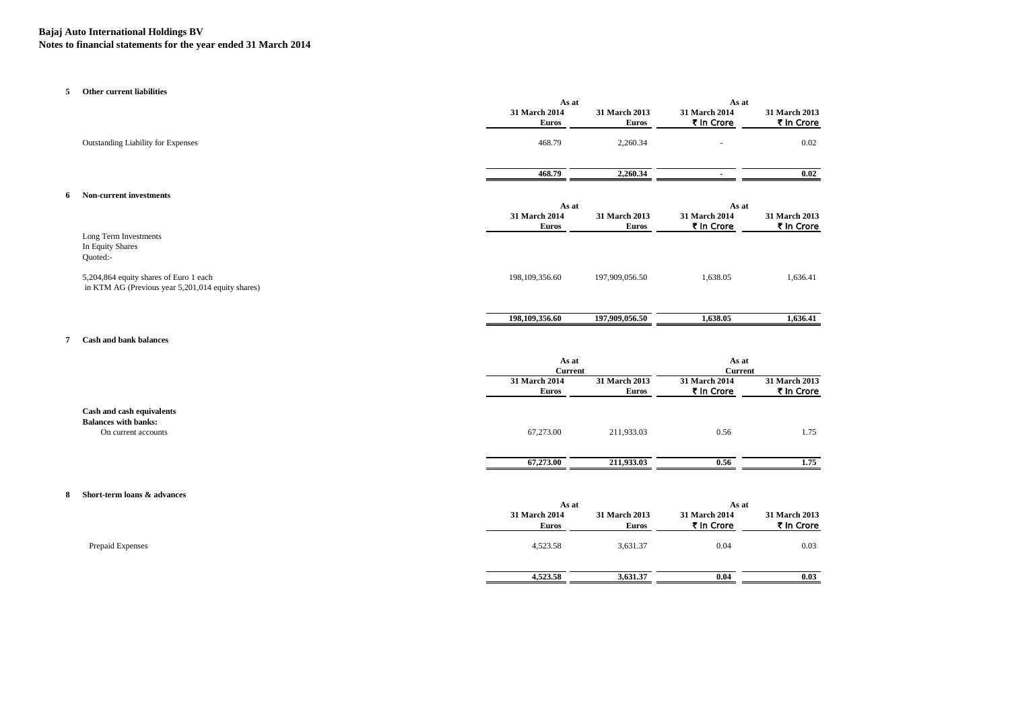# **Bajaj Auto International Holdings BV**

**Notes to financial statements for the year ended 31 March 2014**

### **5 Other current liabilities**

|                                                                                             |                               | As at                  |                             | As at                       |  |
|---------------------------------------------------------------------------------------------|-------------------------------|------------------------|-----------------------------|-----------------------------|--|
|                                                                                             | 31 March 2014                 | 31 March 2013          | 31 March 2014               | 31 March 2013               |  |
|                                                                                             | <b>Euros</b>                  | <b>Euros</b>           | ₹ In Crore                  | ₹ In Crore                  |  |
| Outstanding Liability for Expenses                                                          | 468.79                        | 2,260.34               |                             | 0.02                        |  |
|                                                                                             | 468.79                        | 2,260.34               |                             | 0.02                        |  |
| <b>Non-current investments</b>                                                              | As at                         |                        | As at                       |                             |  |
|                                                                                             | 31 March 2014<br><b>Euros</b> | 31 March 2013<br>Euros | 31 March 2014<br>₹ In Crore | 31 March 2013<br>₹ In Crore |  |
| Long Term Investments<br>In Equity Shares<br>Quoted:-                                       |                               |                        |                             |                             |  |
| 5,204,864 equity shares of Euro 1 each<br>in KTM AG (Previous year 5,201,014 equity shares) | 198, 109, 356.60              | 197,909,056.50         | 1,638.05                    | 1,636.41                    |  |
|                                                                                             |                               |                        |                             |                             |  |

### **7 Cash and bank balances**

|                                                                                 |                               | As at<br><b>Current</b>       |                             | As at<br><b>Current</b>     |  |
|---------------------------------------------------------------------------------|-------------------------------|-------------------------------|-----------------------------|-----------------------------|--|
|                                                                                 | 31 March 2014<br><b>Euros</b> | 31 March 2013<br><b>Euros</b> | 31 March 2014<br>₹ In Crore | 31 March 2013<br>₹ In Crore |  |
| Cash and cash equivalents<br><b>Balances with banks:</b><br>On current accounts | 67,273.00                     | 211,933.03                    | 0.56                        | 1.75                        |  |
|                                                                                 | 67,273.00                     | 211,933.03                    | 0.56                        | 1.75                        |  |

 **198,109,356.60 197,909,056.50 1,638.05 1,636.41**

#### **8 Short-term loans & advances**

|                  | As at                         |                        | As at                              |                             |
|------------------|-------------------------------|------------------------|------------------------------------|-----------------------------|
|                  | 31 March 2014<br><b>Euros</b> | 31 March 2013<br>Euros | <b>31 March 2014</b><br>₹ In Crore | 31 March 2013<br>₹ In Crore |
| Prepaid Expenses | 4,523.58                      | 3,631.37               | 0.04                               | 0.03                        |
|                  | 4,523.58                      | 3,631.37               | 0.04                               | 0.03                        |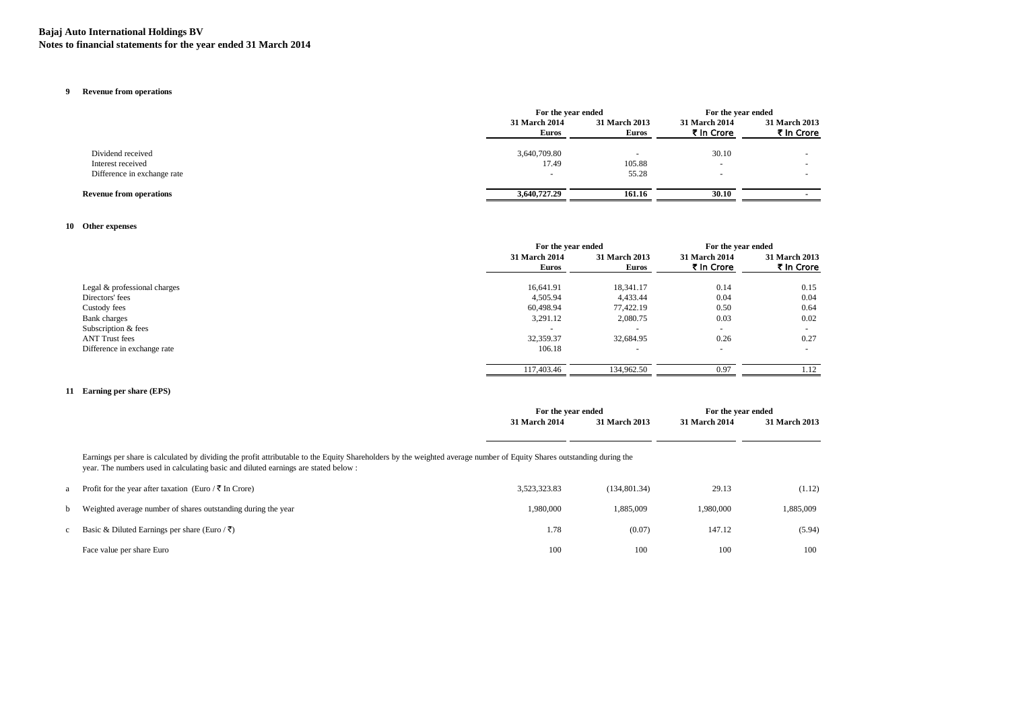### **Bajaj Auto International Holdings BV Notes to financial statements for the year ended 31 March 2014**

#### **9 Revenue from operations**

|                                |                               | For the year ended            |                             | For the year ended          |
|--------------------------------|-------------------------------|-------------------------------|-----------------------------|-----------------------------|
|                                | 31 March 2014<br><b>Euros</b> | 31 March 2013<br><b>Euros</b> | 31 March 2014<br>₹ In Crore | 31 March 2013<br>₹ In Crore |
| Dividend received              | 3,640,709.80                  |                               | 30.10                       |                             |
| Interest received              | 17.49                         | 105.88                        |                             |                             |
| Difference in exchange rate    |                               | 55.28                         |                             |                             |
| <b>Revenue from operations</b> | 3,640,727,29                  | 161.16                        | 30.10                       |                             |

### **10 Other expenses**

|                              |                                      | For the year ended            |                             | For the year ended          |  |
|------------------------------|--------------------------------------|-------------------------------|-----------------------------|-----------------------------|--|
|                              | <b>31 March 2014</b><br><b>Euros</b> | 31 March 2013<br><b>Euros</b> | 31 March 2014<br>₹ In Crore | 31 March 2013<br>₹ In Crore |  |
| Legal & professional charges | 16,641.91                            | 18,341.17                     | 0.14                        | 0.15                        |  |
| Directors' fees              | 4,505.94                             | 4,433.44                      | 0.04                        | 0.04                        |  |
| Custody fees                 | 60,498.94                            | 77,422.19                     | 0.50                        | 0.64                        |  |
| <b>Bank</b> charges          | 3,291.12                             | 2,080.75                      | 0.03                        | 0.02                        |  |
| Subscription & fees          |                                      | $\overline{\phantom{a}}$      | $\sim$                      |                             |  |
| <b>ANT Trust fees</b>        | 32,359.37                            | 32,684.95                     | 0.26                        | 0.27                        |  |
| Difference in exchange rate  | 106.18                               | $\overline{\phantom{a}}$      | $\overline{\phantom{a}}$    |                             |  |
|                              | 117,403.46                           | 134,962.50                    | 0.97                        | .12                         |  |
|                              |                                      |                               |                             |                             |  |

### **11 Earning per share (EPS)**

|                                                                                                                                                                                                                                                              |                                                               | For the year ended |               | For the year ended |               |  |
|--------------------------------------------------------------------------------------------------------------------------------------------------------------------------------------------------------------------------------------------------------------|---------------------------------------------------------------|--------------------|---------------|--------------------|---------------|--|
|                                                                                                                                                                                                                                                              |                                                               | 31 March 2014      | 31 March 2013 | 31 March 2014      | 31 March 2013 |  |
|                                                                                                                                                                                                                                                              |                                                               |                    |               |                    |               |  |
| Earnings per share is calculated by dividing the profit attributable to the Equity Shareholders by the weighted average number of Equity Shares outstanding during the<br>year. The numbers used in calculating basic and diluted earnings are stated below: |                                                               |                    |               |                    |               |  |
|                                                                                                                                                                                                                                                              | Profit for the year after taxation (Euro / ₹ In Crore)        | 3,523,323.83       | (134,801.34)  | 29.13              | (1.12)        |  |
|                                                                                                                                                                                                                                                              | Weighted average number of shares outstanding during the year | 1.980.000          | 1.885.009     | 1.980.000          | 1,885,009     |  |
|                                                                                                                                                                                                                                                              | Basic & Diluted Earnings per share (Euro / ₹)                 | 1.78               | (0.07)        | 147.12             | (5.94)        |  |
|                                                                                                                                                                                                                                                              | Face value per share Euro                                     | 100                | 100           | 100                | 100           |  |